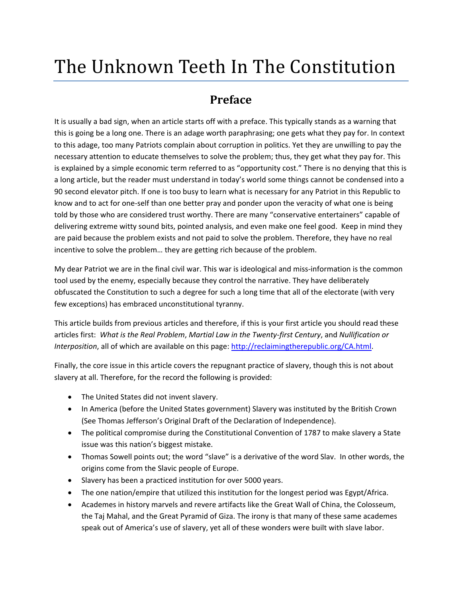# The Unknown Teeth In The Constitution

# **Preface**

It is usually a bad sign, when an article starts off with a preface. This typically stands as a warning that this is going be a long one. There is an adage worth paraphrasing; one gets what they pay for. In context to this adage, too many Patriots complain about corruption in politics. Yet they are unwilling to pay the necessary attention to educate themselves to solve the problem; thus, they get what they pay for. This is explained by a simple economic term referred to as "opportunity cost." There is no denying that this is a long article, but the reader must understand in today's world some things cannot be condensed into a 90 second elevator pitch. If one is too busy to learn what is necessary for any Patriot in this Republic to know and to act for one-self than one better pray and ponder upon the veracity of what one is being told by those who are considered trust worthy. There are many "conservative entertainers" capable of delivering extreme witty sound bits, pointed analysis, and even make one feel good. Keep in mind they are paid because the problem exists and not paid to solve the problem. Therefore, they have no real incentive to solve the problem… they are getting rich because of the problem.

My dear Patriot we are in the final civil war. This war is ideological and miss-information is the common tool used by the enemy, especially because they control the narrative. They have deliberately obfuscated the Constitution to such a degree for such a long time that all of the electorate (with very few exceptions) has embraced unconstitutional tyranny.

This article builds from previous articles and therefore, if this is your first article you should read these articles first: *What is the Real Problem*, *Martial Law in the Twenty‐first Century*, and *Nullification or Interposition*, all of which are available on this page: http://reclaimingtherepublic.org/CA.html.

Finally, the core issue in this article covers the repugnant practice of slavery, though this is not about slavery at all. Therefore, for the record the following is provided:

- The United States did not invent slavery.
- In America (before the United States government) Slavery was instituted by the British Crown (See Thomas Jefferson's Original Draft of the Declaration of Independence).
- The political compromise during the Constitutional Convention of 1787 to make slavery a State issue was this nation's biggest mistake.
- Thomas Sowell points out; the word "slave" is a derivative of the word Slav. In other words, the origins come from the Slavic people of Europe.
- Slavery has been a practiced institution for over 5000 years.
- The one nation/empire that utilized this institution for the longest period was Egypt/Africa.
- Academes in history marvels and revere artifacts like the Great Wall of China, the Colosseum, the Taj Mahal, and the Great Pyramid of Giza. The irony is that many of these same academes speak out of America's use of slavery, yet all of these wonders were built with slave labor.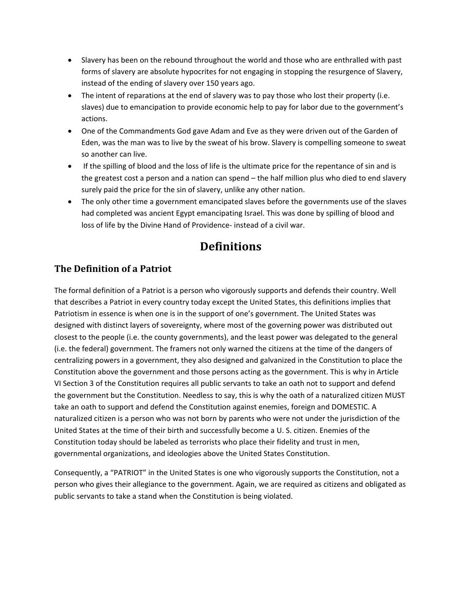- Slavery has been on the rebound throughout the world and those who are enthralled with past forms of slavery are absolute hypocrites for not engaging in stopping the resurgence of Slavery, instead of the ending of slavery over 150 years ago.
- The intent of reparations at the end of slavery was to pay those who lost their property (i.e. slaves) due to emancipation to provide economic help to pay for labor due to the government's actions.
- One of the Commandments God gave Adam and Eve as they were driven out of the Garden of Eden, was the man was to live by the sweat of his brow. Slavery is compelling someone to sweat so another can live.
- If the spilling of blood and the loss of life is the ultimate price for the repentance of sin and is the greatest cost a person and a nation can spend – the half million plus who died to end slavery surely paid the price for the sin of slavery, unlike any other nation.
- The only other time a government emancipated slaves before the governments use of the slaves had completed was ancient Egypt emancipating Israel. This was done by spilling of blood and loss of life by the Divine Hand of Providence‐ instead of a civil war.

# **Definitions**

#### **The Definition of a Patriot**

The formal definition of a Patriot is a person who vigorously supports and defends their country. Well that describes a Patriot in every country today except the United States, this definitions implies that Patriotism in essence is when one is in the support of one's government. The United States was designed with distinct layers of sovereignty, where most of the governing power was distributed out closest to the people (i.e. the county governments), and the least power was delegated to the general (i.e. the federal) government. The framers not only warned the citizens at the time of the dangers of centralizing powers in a government, they also designed and galvanized in the Constitution to place the Constitution above the government and those persons acting as the government. This is why in Article VI Section 3 of the Constitution requires all public servants to take an oath not to support and defend the government but the Constitution. Needless to say, this is why the oath of a naturalized citizen MUST take an oath to support and defend the Constitution against enemies, foreign and DOMESTIC. A naturalized citizen is a person who was not born by parents who were not under the jurisdiction of the United States at the time of their birth and successfully become a U. S. citizen. Enemies of the Constitution today should be labeled as terrorists who place their fidelity and trust in men, governmental organizations, and ideologies above the United States Constitution.

Consequently, a "PATRIOT" in the United States is one who vigorously supports the Constitution, not a person who gives their allegiance to the government. Again, we are required as citizens and obligated as public servants to take a stand when the Constitution is being violated.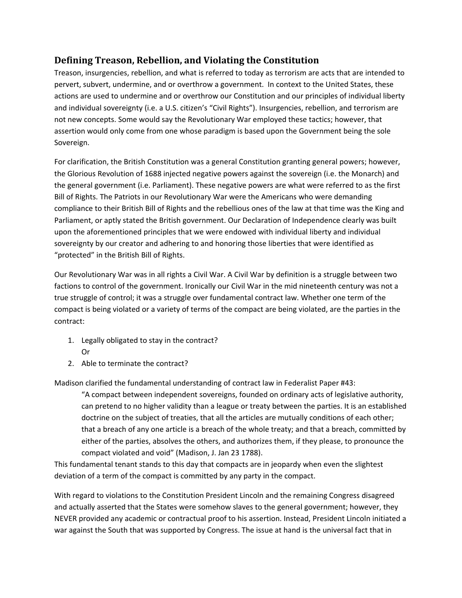#### **Defining Treason, Rebellion, and Violating the Constitution**

Treason, insurgencies, rebellion, and what is referred to today as terrorism are acts that are intended to pervert, subvert, undermine, and or overthrow a government. In context to the United States, these actions are used to undermine and or overthrow our Constitution and our principles of individual liberty and individual sovereignty (i.e. a U.S. citizen's "Civil Rights"). Insurgencies, rebellion, and terrorism are not new concepts. Some would say the Revolutionary War employed these tactics; however, that assertion would only come from one whose paradigm is based upon the Government being the sole Sovereign.

For clarification, the British Constitution was a general Constitution granting general powers; however, the Glorious Revolution of 1688 injected negative powers against the sovereign (i.e. the Monarch) and the general government (i.e. Parliament). These negative powers are what were referred to as the first Bill of Rights. The Patriots in our Revolutionary War were the Americans who were demanding compliance to their British Bill of Rights and the rebellious ones of the law at that time was the King and Parliament, or aptly stated the British government. Our Declaration of Independence clearly was built upon the aforementioned principles that we were endowed with individual liberty and individual sovereignty by our creator and adhering to and honoring those liberties that were identified as "protected" in the British Bill of Rights.

Our Revolutionary War was in all rights a Civil War. A Civil War by definition is a struggle between two factions to control of the government. Ironically our Civil War in the mid nineteenth century was not a true struggle of control; it was a struggle over fundamental contract law. Whether one term of the compact is being violated or a variety of terms of the compact are being violated, are the parties in the contract:

- 1. Legally obligated to stay in the contract? Or
- 2. Able to terminate the contract?

Madison clarified the fundamental understanding of contract law in Federalist Paper #43:

"A compact between independent sovereigns, founded on ordinary acts of legislative authority, can pretend to no higher validity than a league or treaty between the parties. It is an established doctrine on the subject of treaties, that all the articles are mutually conditions of each other; that a breach of any one article is a breach of the whole treaty; and that a breach, committed by either of the parties, absolves the others, and authorizes them, if they please, to pronounce the compact violated and void" (Madison, J. Jan 23 1788).

This fundamental tenant stands to this day that compacts are in jeopardy when even the slightest deviation of a term of the compact is committed by any party in the compact.

With regard to violations to the Constitution President Lincoln and the remaining Congress disagreed and actually asserted that the States were somehow slaves to the general government; however, they NEVER provided any academic or contractual proof to his assertion. Instead, President Lincoln initiated a war against the South that was supported by Congress. The issue at hand is the universal fact that in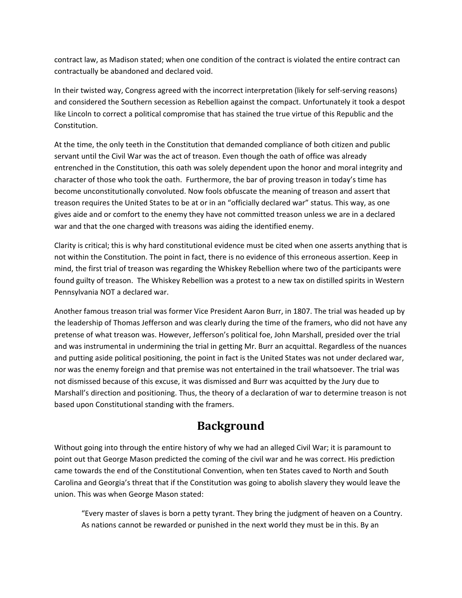contract law, as Madison stated; when one condition of the contract is violated the entire contract can contractually be abandoned and declared void.

In their twisted way, Congress agreed with the incorrect interpretation (likely for self‐serving reasons) and considered the Southern secession as Rebellion against the compact. Unfortunately it took a despot like Lincoln to correct a political compromise that has stained the true virtue of this Republic and the Constitution.

At the time, the only teeth in the Constitution that demanded compliance of both citizen and public servant until the Civil War was the act of treason. Even though the oath of office was already entrenched in the Constitution, this oath was solely dependent upon the honor and moral integrity and character of those who took the oath. Furthermore, the bar of proving treason in today's time has become unconstitutionally convoluted. Now fools obfuscate the meaning of treason and assert that treason requires the United States to be at or in an "officially declared war" status. This way, as one gives aide and or comfort to the enemy they have not committed treason unless we are in a declared war and that the one charged with treasons was aiding the identified enemy.

Clarity is critical; this is why hard constitutional evidence must be cited when one asserts anything that is not within the Constitution. The point in fact, there is no evidence of this erroneous assertion. Keep in mind, the first trial of treason was regarding the Whiskey Rebellion where two of the participants were found guilty of treason. The Whiskey Rebellion was a protest to a new tax on distilled spirits in Western Pennsylvania NOT a declared war.

Another famous treason trial was former Vice President Aaron Burr, in 1807. The trial was headed up by the leadership of Thomas Jefferson and was clearly during the time of the framers, who did not have any pretense of what treason was. However, Jefferson's political foe, John Marshall, presided over the trial and was instrumental in undermining the trial in getting Mr. Burr an acquittal. Regardless of the nuances and putting aside political positioning, the point in fact is the United States was not under declared war, nor was the enemy foreign and that premise was not entertained in the trail whatsoever. The trial was not dismissed because of this excuse, it was dismissed and Burr was acquitted by the Jury due to Marshall's direction and positioning. Thus, the theory of a declaration of war to determine treason is not based upon Constitutional standing with the framers.

#### **Background**

Without going into through the entire history of why we had an alleged Civil War; it is paramount to point out that George Mason predicted the coming of the civil war and he was correct. His prediction came towards the end of the Constitutional Convention, when ten States caved to North and South Carolina and Georgia's threat that if the Constitution was going to abolish slavery they would leave the union. This was when George Mason stated:

"Every master of slaves is born a petty tyrant. They bring the judgment of heaven on a Country. As nations cannot be rewarded or punished in the next world they must be in this. By an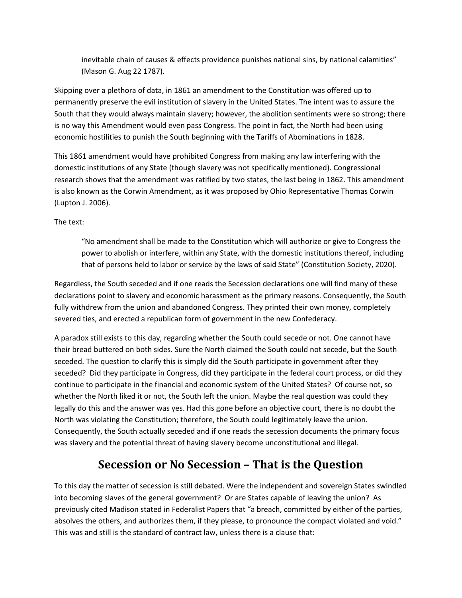inevitable chain of causes & effects providence punishes national sins, by national calamities" (Mason G. Aug 22 1787).

Skipping over a plethora of data, in 1861 an amendment to the Constitution was offered up to permanently preserve the evil institution of slavery in the United States. The intent was to assure the South that they would always maintain slavery; however, the abolition sentiments were so strong; there is no way this Amendment would even pass Congress. The point in fact, the North had been using economic hostilities to punish the South beginning with the Tariffs of Abominations in 1828.

This 1861 amendment would have prohibited Congress from making any law interfering with the domestic institutions of any State (though slavery was not specifically mentioned). Congressional research shows that the amendment was ratified by two states, the last being in 1862. This amendment is also known as the Corwin Amendment, as it was proposed by Ohio Representative Thomas Corwin (Lupton J. 2006).

The text:

"No amendment shall be made to the Constitution which will authorize or give to Congress the power to abolish or interfere, within any State, with the domestic institutions thereof, including that of persons held to labor or service by the laws of said State" (Constitution Society, 2020).

Regardless, the South seceded and if one reads the Secession declarations one will find many of these declarations point to slavery and economic harassment as the primary reasons. Consequently, the South fully withdrew from the union and abandoned Congress. They printed their own money, completely severed ties, and erected a republican form of government in the new Confederacy.

A paradox still exists to this day, regarding whether the South could secede or not. One cannot have their bread buttered on both sides. Sure the North claimed the South could not secede, but the South seceded. The question to clarify this is simply did the South participate in government after they seceded? Did they participate in Congress, did they participate in the federal court process, or did they continue to participate in the financial and economic system of the United States? Of course not, so whether the North liked it or not, the South left the union. Maybe the real question was could they legally do this and the answer was yes. Had this gone before an objective court, there is no doubt the North was violating the Constitution; therefore, the South could legitimately leave the union. Consequently, the South actually seceded and if one reads the secession documents the primary focus was slavery and the potential threat of having slavery become unconstitutional and illegal.

### **Secession or No Secession – That is the Question**

To this day the matter of secession is still debated. Were the independent and sovereign States swindled into becoming slaves of the general government? Or are States capable of leaving the union? As previously cited Madison stated in Federalist Papers that "a breach, committed by either of the parties, absolves the others, and authorizes them, if they please, to pronounce the compact violated and void." This was and still is the standard of contract law, unless there is a clause that: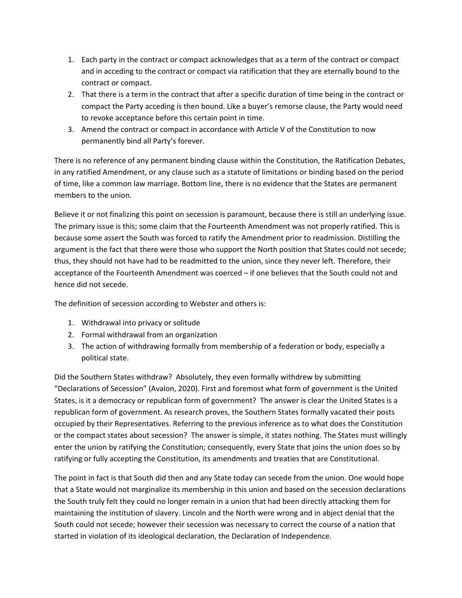- 1. Each party in the contract or compact acknowledges that as a term of the contract or compact and in acceding to the contract or compact via ratification that they are eternally bound to the contract or compact.
- 2. That there is a term in the contract that after a specific duration of time being in the contract or compact the Party acceding is then bound. Like a buyer's remorse clause, the Party would need to revoke acceptance before this certain point in time.
- 3. Amend the contract or compact in accordance with Article V of the Constitution to now permanently bind all Party's forever.

There is no reference of any permanent binding clause within the Constitution, the Ratification Debates, in any ratified Amendment, or any clause such as a statute of limitations or binding based on the period of time, like a common law marriage. Bottom line, there is no evidence that the States are permanent members to the union.

Believe it or not finalizing this point on secession is paramount, because there is still an underlying issue. The primary issue is this; some claim that the Fourteenth Amendment was not properly ratified. This is because some assert the South was forced to ratify the Amendment prior to readmission. Distilling the argument is the fact that there were those who support the North position that States could not secede; thus, they should not have had to be readmitted to the union, since they never left. Therefore, their acceptance of the Fourteenth Amendment was coerced – if one believes that the South could not and hence did not secede.

The definition of secession according to Webster and others is:

- 1. Withdrawal into privacy or solitude
- 2. Formal withdrawal from an organization
- 3. The action of withdrawing formally from membership of a federation or body, especially a political state.

Did the Southern States withdraw? Absolutely, they even formally withdrew by submitting "Declarations of Secession" (Avalon, 2020). First and foremost what form of government is the United States, is it a democracy or republican form of government? The answer is clear the United States is a republican form of government. As research proves, the Southern States formally vacated their posts occupied by their Representatives. Referring to the previous inference as to what does the Constitution or the compact states about secession? The answer is simple, it states nothing. The States must willingly enter the union by ratifying the Constitution; consequently, every State that joins the union does so by ratifying or fully accepting the Constitution, its amendments and treaties that are Constitutional.

The point in fact is that South did then and any State today can secede from the union. One would hope that a State would not marginalize its membership in this union and based on the secession declarations the South truly felt they could no longer remain in a union that had been directly attacking them for maintaining the institution of slavery. Lincoln and the North were wrong and in abject denial that the South could not secede; however their secession was necessary to correct the course of a nation that started in violation of its ideological declaration, the Declaration of Independence.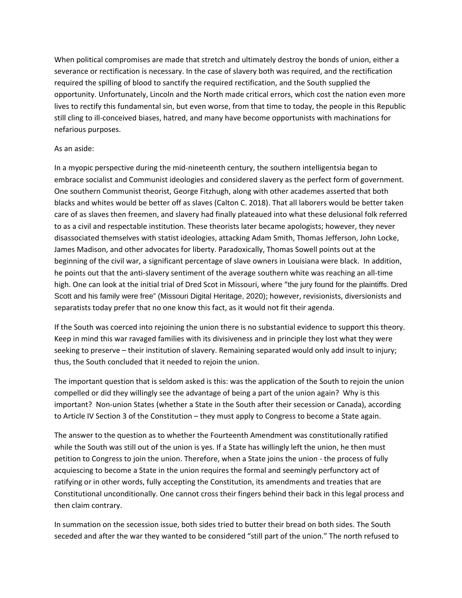When political compromises are made that stretch and ultimately destroy the bonds of union, either a severance or rectification is necessary. In the case of slavery both was required, and the rectification required the spilling of blood to sanctify the required rectification, and the South supplied the opportunity. Unfortunately, Lincoln and the North made critical errors, which cost the nation even more lives to rectify this fundamental sin, but even worse, from that time to today, the people in this Republic still cling to ill‐conceived biases, hatred, and many have become opportunists with machinations for nefarious purposes.

#### As an aside:

In a myopic perspective during the mid-nineteenth century, the southern intelligentsia began to embrace socialist and Communist ideologies and considered slavery as the perfect form of government. One southern Communist theorist, George Fitzhugh, along with other academes asserted that both blacks and whites would be better off as slaves (Calton C. 2018). That all laborers would be better taken care of as slaves then freemen, and slavery had finally plateaued into what these delusional folk referred to as a civil and respectable institution. These theorists later became apologists; however, they never disassociated themselves with statist ideologies, attacking Adam Smith, Thomas Jefferson, John Locke, James Madison, and other advocates for liberty. Paradoxically, Thomas Sowell points out at the beginning of the civil war, a significant percentage of slave owners in Louisiana were black. In addition, he points out that the anti-slavery sentiment of the average southern white was reaching an all-time high. One can look at the initial trial of Dred Scot in Missouri, where "the jury found for the plaintiffs. Dred Scott and his family were free" (Missouri Digital Heritage, 2020); however, revisionists, diversionists and separatists today prefer that no one know this fact, as it would not fit their agenda.

If the South was coerced into rejoining the union there is no substantial evidence to support this theory. Keep in mind this war ravaged families with its divisiveness and in principle they lost what they were seeking to preserve – their institution of slavery. Remaining separated would only add insult to injury; thus, the South concluded that it needed to rejoin the union.

The important question that is seldom asked is this: was the application of the South to rejoin the union compelled or did they willingly see the advantage of being a part of the union again? Why is this important? Non-union States (whether a State in the South after their secession or Canada), according to Article IV Section 3 of the Constitution – they must apply to Congress to become a State again.

The answer to the question as to whether the Fourteenth Amendment was constitutionally ratified while the South was still out of the union is yes. If a State has willingly left the union, he then must petition to Congress to join the union. Therefore, when a State joins the union ‐ the process of fully acquiescing to become a State in the union requires the formal and seemingly perfunctory act of ratifying or in other words, fully accepting the Constitution, its amendments and treaties that are Constitutional unconditionally. One cannot cross their fingers behind their back in this legal process and then claim contrary.

In summation on the secession issue, both sides tried to butter their bread on both sides. The South seceded and after the war they wanted to be considered "still part of the union." The north refused to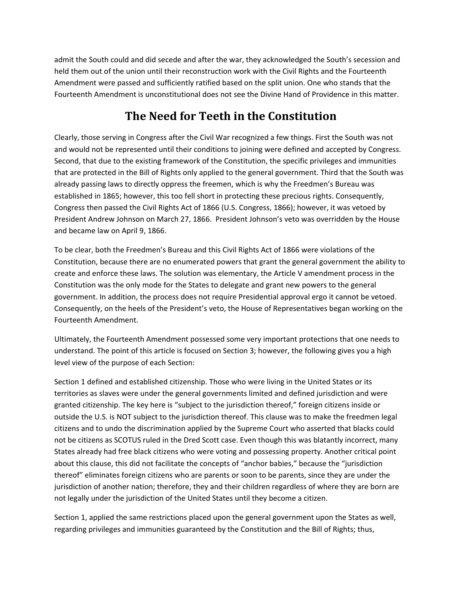admit the South could and did secede and after the war, they acknowledged the South's secession and held them out of the union until their reconstruction work with the Civil Rights and the Fourteenth Amendment were passed and sufficiently ratified based on the split union. One who stands that the Fourteenth Amendment is unconstitutional does not see the Divine Hand of Providence in this matter.

## **The Need for Teeth in the Constitution**

Clearly, those serving in Congress after the Civil War recognized a few things. First the South was not and would not be represented until their conditions to joining were defined and accepted by Congress. Second, that due to the existing framework of the Constitution, the specific privileges and immunities that are protected in the Bill of Rights only applied to the general government. Third that the South was already passing laws to directly oppress the freemen, which is why the Freedmen's Bureau was established in 1865; however, this too fell short in protecting these precious rights. Consequently, Congress then passed the Civil Rights Act of 1866 (U.S. Congress, 1866); however, it was vetoed by President Andrew Johnson on March 27, 1866. President Johnson's veto was overridden by the House and became law on April 9, 1866.

To be clear, both the Freedmen's Bureau and this Civil Rights Act of 1866 were violations of the Constitution, because there are no enumerated powers that grant the general government the ability to create and enforce these laws. The solution was elementary, the Article V amendment process in the Constitution was the only mode for the States to delegate and grant new powers to the general government. In addition, the process does not require Presidential approval ergo it cannot be vetoed. Consequently, on the heels of the President's veto, the House of Representatives began working on the Fourteenth Amendment.

Ultimately, the Fourteenth Amendment possessed some very important protections that one needs to understand. The point of this article is focused on Section 3; however, the following gives you a high level view of the purpose of each Section:

Section 1 defined and established citizenship. Those who were living in the United States or its territories as slaves were under the general governments limited and defined jurisdiction and were granted citizenship. The key here is "subject to the jurisdiction thereof," foreign citizens inside or outside the U.S. is NOT subject to the jurisdiction thereof. This clause was to make the freedmen legal citizens and to undo the discrimination applied by the Supreme Court who asserted that blacks could not be citizens as SCOTUS ruled in the Dred Scott case. Even though this was blatantly incorrect, many States already had free black citizens who were voting and possessing property. Another critical point about this clause, this did not facilitate the concepts of "anchor babies," because the "jurisdiction thereof" eliminates foreign citizens who are parents or soon to be parents, since they are under the jurisdiction of another nation; therefore, they and their children regardless of where they are born are not legally under the jurisdiction of the United States until they become a citizen.

Section 1, applied the same restrictions placed upon the general government upon the States as well, regarding privileges and immunities guaranteed by the Constitution and the Bill of Rights; thus,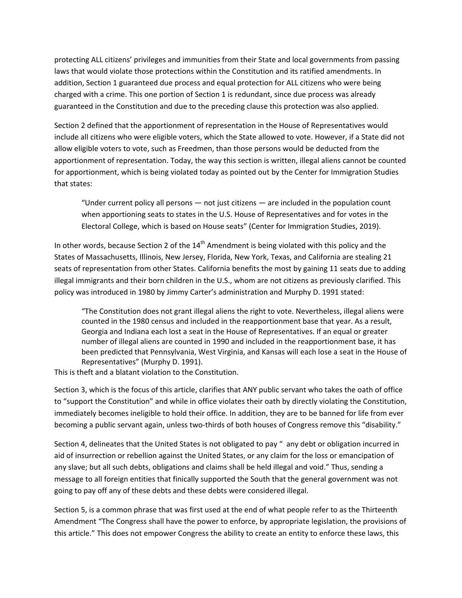protecting ALL citizens' privileges and immunities from their State and local governments from passing laws that would violate those protections within the Constitution and its ratified amendments. In addition, Section 1 guaranteed due process and equal protection for ALL citizens who were being charged with a crime. This one portion of Section 1 is redundant, since due process was already guaranteed in the Constitution and due to the preceding clause this protection was also applied.

Section 2 defined that the apportionment of representation in the House of Representatives would include all citizens who were eligible voters, which the State allowed to vote. However, if a State did not allow eligible voters to vote, such as Freedmen, than those persons would be deducted from the apportionment of representation. Today, the way this section is written, illegal aliens cannot be counted for apportionment, which is being violated today as pointed out by the Center for Immigration Studies that states:

"Under current policy all persons — not just citizens — are included in the population count when apportioning seats to states in the U.S. House of Representatives and for votes in the Electoral College, which is based on House seats" (Center for Immigration Studies, 2019).

In other words, because Section 2 of the  $14<sup>th</sup>$  Amendment is being violated with this policy and the States of Massachusetts, Illinois, New Jersey, Florida, New York, Texas, and California are stealing 21 seats of representation from other States. California benefits the most by gaining 11 seats due to adding illegal immigrants and their born children in the U.S., whom are not citizens as previously clarified. This policy was introduced in 1980 by Jimmy Carter's administration and Murphy D. 1991 stated:

"The Constitution does not grant illegal aliens the right to vote. Nevertheless, illegal aliens were counted in the 1980 census and included in the reapportionment base that year. As a result, Georgia and Indiana each lost a seat in the House of Representatives. If an equal or greater number of illegal aliens are counted in 1990 and included in the reapportionment base, it has been predicted that Pennsylvania, West Virginia, and Kansas will each lose a seat in the House of Representatives" (Murphy D. 1991).

This is theft and a blatant violation to the Constitution.

Section 3, which is the focus of this article, clarifies that ANY public servant who takes the oath of office to "support the Constitution" and while in office violates their oath by directly violating the Constitution, immediately becomes ineligible to hold their office. In addition, they are to be banned for life from ever becoming a public servant again, unless two-thirds of both houses of Congress remove this "disability."

Section 4, delineates that the United States is not obligated to pay " any debt or obligation incurred in aid of insurrection or rebellion against the United States, or any claim for the loss or emancipation of any slave; but all such debts, obligations and claims shall be held illegal and void." Thus, sending a message to all foreign entities that finically supported the South that the general government was not going to pay off any of these debts and these debts were considered illegal.

Section 5, is a common phrase that was first used at the end of what people refer to as the Thirteenth Amendment "The Congress shall have the power to enforce, by appropriate legislation, the provisions of this article." This does not empower Congress the ability to create an entity to enforce these laws, this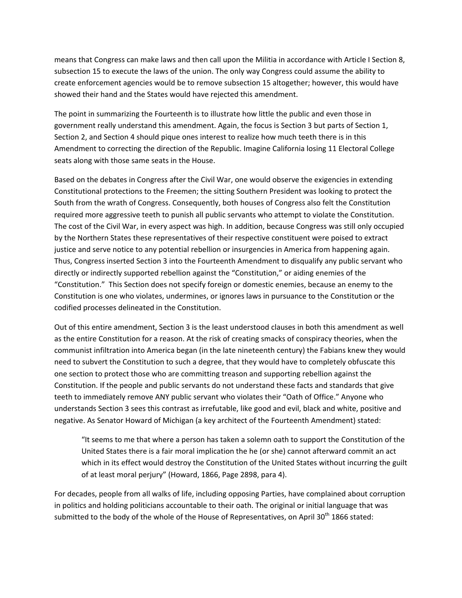means that Congress can make laws and then call upon the Militia in accordance with Article I Section 8, subsection 15 to execute the laws of the union. The only way Congress could assume the ability to create enforcement agencies would be to remove subsection 15 altogether; however, this would have showed their hand and the States would have rejected this amendment.

The point in summarizing the Fourteenth is to illustrate how little the public and even those in government really understand this amendment. Again, the focus is Section 3 but parts of Section 1, Section 2, and Section 4 should pique ones interest to realize how much teeth there is in this Amendment to correcting the direction of the Republic. Imagine California losing 11 Electoral College seats along with those same seats in the House.

Based on the debates in Congress after the Civil War, one would observe the exigencies in extending Constitutional protections to the Freemen; the sitting Southern President was looking to protect the South from the wrath of Congress. Consequently, both houses of Congress also felt the Constitution required more aggressive teeth to punish all public servants who attempt to violate the Constitution. The cost of the Civil War, in every aspect was high. In addition, because Congress was still only occupied by the Northern States these representatives of their respective constituent were poised to extract justice and serve notice to any potential rebellion or insurgencies in America from happening again. Thus, Congress inserted Section 3 into the Fourteenth Amendment to disqualify any public servant who directly or indirectly supported rebellion against the "Constitution," or aiding enemies of the "Constitution." This Section does not specify foreign or domestic enemies, because an enemy to the Constitution is one who violates, undermines, or ignores laws in pursuance to the Constitution or the codified processes delineated in the Constitution.

Out of this entire amendment, Section 3 is the least understood clauses in both this amendment as well as the entire Constitution for a reason. At the risk of creating smacks of conspiracy theories, when the communist infiltration into America began (in the late nineteenth century) the Fabians knew they would need to subvert the Constitution to such a degree, that they would have to completely obfuscate this one section to protect those who are committing treason and supporting rebellion against the Constitution. If the people and public servants do not understand these facts and standards that give teeth to immediately remove ANY public servant who violates their "Oath of Office." Anyone who understands Section 3 sees this contrast as irrefutable, like good and evil, black and white, positive and negative. As Senator Howard of Michigan (a key architect of the Fourteenth Amendment) stated:

"It seems to me that where a person has taken a solemn oath to support the Constitution of the United States there is a fair moral implication the he (or she) cannot afterward commit an act which in its effect would destroy the Constitution of the United States without incurring the guilt of at least moral perjury" (Howard, 1866, Page 2898, para 4).

For decades, people from all walks of life, including opposing Parties, have complained about corruption in politics and holding politicians accountable to their oath. The original or initial language that was submitted to the body of the whole of the House of Representatives, on April 30<sup>th</sup> 1866 stated: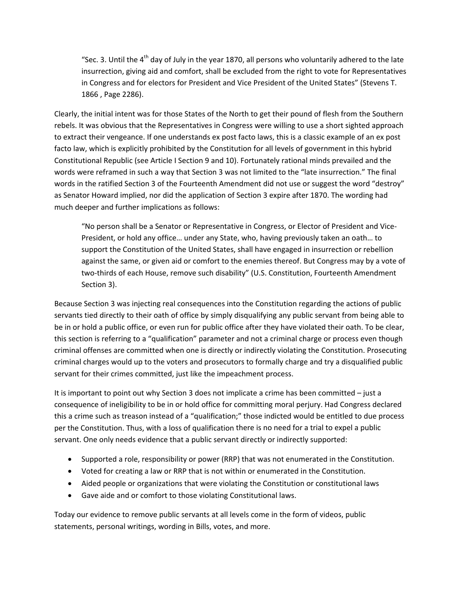"Sec. 3. Until the  $4<sup>th</sup>$  day of July in the year 1870, all persons who voluntarily adhered to the late insurrection, giving aid and comfort, shall be excluded from the right to vote for Representatives in Congress and for electors for President and Vice President of the United States" (Stevens T. 1866 , Page 2286).

Clearly, the initial intent was for those States of the North to get their pound of flesh from the Southern rebels. It was obvious that the Representatives in Congress were willing to use a short sighted approach to extract their vengeance. If one understands ex post facto laws, this is a classic example of an ex post facto law, which is explicitly prohibited by the Constitution for all levels of government in this hybrid Constitutional Republic (see Article I Section 9 and 10). Fortunately rational minds prevailed and the words were reframed in such a way that Section 3 was not limited to the "late insurrection." The final words in the ratified Section 3 of the Fourteenth Amendment did not use or suggest the word "destroy" as Senator Howard implied, nor did the application of Section 3 expire after 1870. The wording had much deeper and further implications as follows:

"No person shall be a Senator or Representative in Congress, or Elector of President and Vice‐ President, or hold any office… under any State, who, having previously taken an oath… to support the Constitution of the United States, shall have engaged in insurrection or rebellion against the same, or given aid or comfort to the enemies thereof. But Congress may by a vote of two-thirds of each House, remove such disability" (U.S. Constitution, Fourteenth Amendment Section 3).

Because Section 3 was injecting real consequences into the Constitution regarding the actions of public servants tied directly to their oath of office by simply disqualifying any public servant from being able to be in or hold a public office, or even run for public office after they have violated their oath. To be clear, this section is referring to a "qualification" parameter and not a criminal charge or process even though criminal offenses are committed when one is directly or indirectly violating the Constitution. Prosecuting criminal charges would up to the voters and prosecutors to formally charge and try a disqualified public servant for their crimes committed, just like the impeachment process.

It is important to point out why Section 3 does not implicate a crime has been committed – just a consequence of ineligibility to be in or hold office for committing moral perjury. Had Congress declared this a crime such as treason instead of a "qualification;" those indicted would be entitled to due process per the Constitution. Thus, with a loss of qualification there is no need for a trial to expel a public servant. One only needs evidence that a public servant directly or indirectly supported:

- Supported a role, responsibility or power (RRP) that was not enumerated in the Constitution.
- Voted for creating a law or RRP that is not within or enumerated in the Constitution.
- Aided people or organizations that were violating the Constitution or constitutional laws
- Gave aide and or comfort to those violating Constitutional laws.

Today our evidence to remove public servants at all levels come in the form of videos, public statements, personal writings, wording in Bills, votes, and more.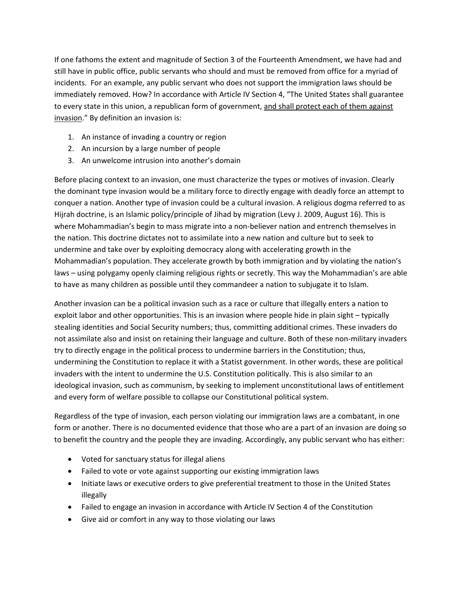If one fathoms the extent and magnitude of Section 3 of the Fourteenth Amendment, we have had and still have in public office, public servants who should and must be removed from office for a myriad of incidents. For an example, any public servant who does not support the immigration laws should be immediately removed. How? In accordance with Article IV Section 4, "The United States shall guarantee to every state in this union, a republican form of government, and shall protect each of them against invasion." By definition an invasion is:

- 1. An instance of invading a country or region
- 2. An incursion by a large number of people
- 3. An unwelcome intrusion into another's domain

Before placing context to an invasion, one must characterize the types or motives of invasion. Clearly the dominant type invasion would be a military force to directly engage with deadly force an attempt to conquer a nation. Another type of invasion could be a cultural invasion. A religious dogma referred to as Hijrah doctrine, is an Islamic policy/principle of Jihad by migration (Levy J. 2009, August 16). This is where Mohammadian's begin to mass migrate into a non-believer nation and entrench themselves in the nation. This doctrine dictates not to assimilate into a new nation and culture but to seek to undermine and take over by exploiting democracy along with accelerating growth in the Mohammadian's population. They accelerate growth by both immigration and by violating the nation's laws – using polygamy openly claiming religious rights or secretly. This way the Mohammadian's are able to have as many children as possible until they commandeer a nation to subjugate it to Islam.

Another invasion can be a political invasion such as a race or culture that illegally enters a nation to exploit labor and other opportunities. This is an invasion where people hide in plain sight – typically stealing identities and Social Security numbers; thus, committing additional crimes. These invaders do not assimilate also and insist on retaining their language and culture. Both of these non‐military invaders try to directly engage in the political process to undermine barriers in the Constitution; thus, undermining the Constitution to replace it with a Statist government. In other words, these are political invaders with the intent to undermine the U.S. Constitution politically. This is also similar to an ideological invasion, such as communism, by seeking to implement unconstitutional laws of entitlement and every form of welfare possible to collapse our Constitutional political system.

Regardless of the type of invasion, each person violating our immigration laws are a combatant, in one form or another. There is no documented evidence that those who are a part of an invasion are doing so to benefit the country and the people they are invading. Accordingly, any public servant who has either:

- Voted for sanctuary status for illegal aliens
- Failed to vote or vote against supporting our existing immigration laws
- Initiate laws or executive orders to give preferential treatment to those in the United States illegally
- Failed to engage an invasion in accordance with Article IV Section 4 of the Constitution
- Give aid or comfort in any way to those violating our laws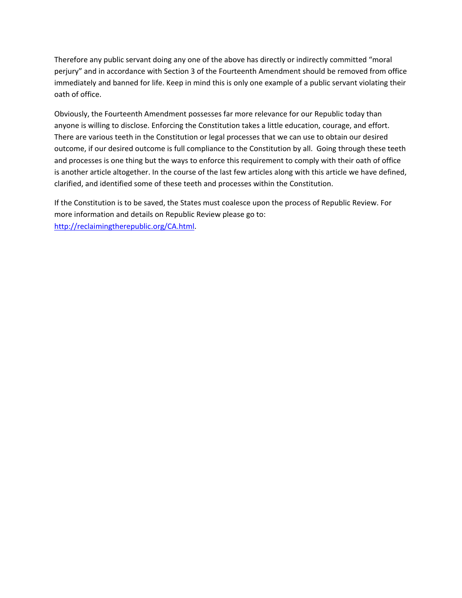Therefore any public servant doing any one of the above has directly or indirectly committed "moral perjury" and in accordance with Section 3 of the Fourteenth Amendment should be removed from office immediately and banned for life. Keep in mind this is only one example of a public servant violating their oath of office.

Obviously, the Fourteenth Amendment possesses far more relevance for our Republic today than anyone is willing to disclose. Enforcing the Constitution takes a little education, courage, and effort. There are various teeth in the Constitution or legal processes that we can use to obtain our desired outcome, if our desired outcome is full compliance to the Constitution by all. Going through these teeth and processes is one thing but the ways to enforce this requirement to comply with their oath of office is another article altogether. In the course of the last few articles along with this article we have defined, clarified, and identified some of these teeth and processes within the Constitution.

If the Constitution is to be saved, the States must coalesce upon the process of Republic Review. For more information and details on Republic Review please go to: http://reclaimingtherepublic.org/CA.html.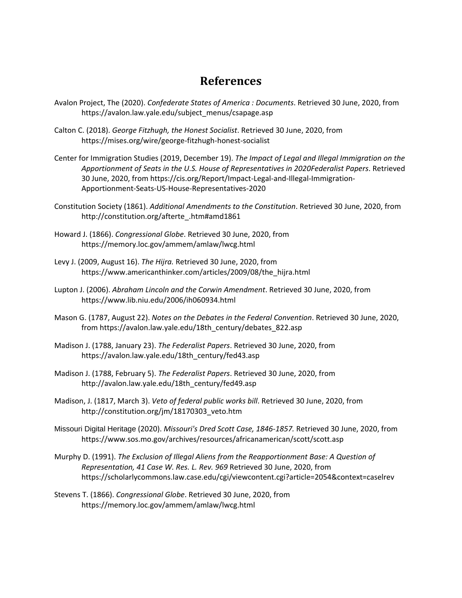#### **References**

- Avalon Project, The (2020). *Confederate States of America : Documents*. Retrieved 30 June, 2020, from https://avalon.law.yale.edu/subject\_menus/csapage.asp
- Calton C. (2018). *George Fitzhugh, the Honest Socialist*. Retrieved 30 June, 2020, from https://mises.org/wire/george‐fitzhugh‐honest‐socialist
- Center for Immigration Studies (2019, December 19). *The Impact of Legal and Illegal Immigration on the Apportionment of Seats in the U.S. House of Representatives in 2020Federalist Papers*. Retrieved 30 June, 2020, from https://cis.org/Report/Impact‐Legal‐and‐Illegal‐Immigration‐ Apportionment‐Seats‐US‐House‐Representatives‐2020
- Constitution Society (1861). *Additional Amendments to the Constitution*. Retrieved 30 June, 2020, from http://constitution.org/afterte\_.htm#amd1861
- Howard J. (1866). *Congressional Globe*. Retrieved 30 June, 2020, from https://memory.loc.gov/ammem/amlaw/lwcg.html
- Levy J. (2009, August 16). *The Hijra.* Retrieved 30 June, 2020, from https://www.americanthinker.com/articles/2009/08/the\_hijra.html
- Lupton J. (2006). *Abraham Lincoln and the Corwin Amendment*. Retrieved 30 June, 2020, from https://www.lib.niu.edu/2006/ih060934.html
- Mason G. (1787, August 22). *Notes on the Debates in the Federal Convention*. Retrieved 30 June, 2020, from https://avalon.law.yale.edu/18th\_century/debates\_822.asp
- Madison J. (1788, January 23). *The Federalist Papers*. Retrieved 30 June, 2020, from https://avalon.law.yale.edu/18th\_century/fed43.asp
- Madison J. (1788, February 5). *The Federalist Papers*. Retrieved 30 June, 2020, from http://avalon.law.yale.edu/18th\_century/fed49.asp
- Madison, J. (1817, March 3). *Veto of federal public works bill*. Retrieved 30 June, 2020, from http://constitution.org/jm/18170303\_veto.htm
- Missouri Digital Heritage (2020). *Missouri's Dred Scott Case, 1846‐1857.* Retrieved 30 June, 2020, from https://www.sos.mo.gov/archives/resources/africanamerican/scott/scott.asp
- Murphy D. (1991). *The Exclusion of Illegal Aliens from the Reapportionment Base: A Question of Representation, 41 Case W. Res. L. Rev. 969* Retrieved 30 June, 2020, from https://scholarlycommons.law.case.edu/cgi/viewcontent.cgi?article=2054&context=caselrev
- Stevens T. (1866). *Congressional Globe*. Retrieved 30 June, 2020, from https://memory.loc.gov/ammem/amlaw/lwcg.html